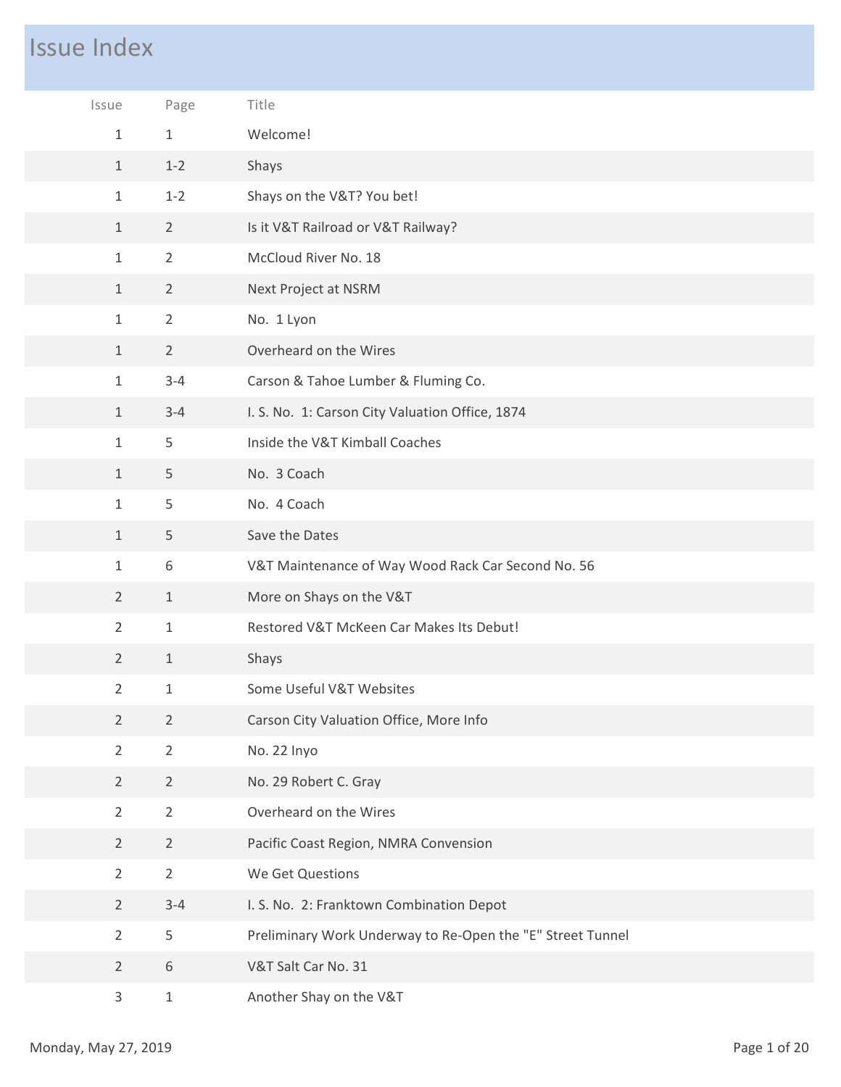## Issue Index

| Issue |                | Page           | Title                                                      |
|-------|----------------|----------------|------------------------------------------------------------|
|       | $\mathbf 1$    | $\mathbf{1}$   | Welcome!                                                   |
|       | $\mathbf{1}$   | $1 - 2$        | Shays                                                      |
|       | $\mathbf{1}$   | $1 - 2$        | Shays on the V&T? You bet!                                 |
|       | $\mathbf{1}$   | $\overline{2}$ | Is it V&T Railroad or V&T Railway?                         |
|       | $\mathbf{1}$   | $\overline{2}$ | McCloud River No. 18                                       |
|       | $\mathbf{1}$   | $\overline{2}$ | Next Project at NSRM                                       |
|       | $\mathbf{1}$   | $\overline{2}$ | No. 1 Lyon                                                 |
|       | $\mathbf{1}$   | $\overline{2}$ | Overheard on the Wires                                     |
|       | $\mathbf{1}$   | $3 - 4$        | Carson & Tahoe Lumber & Fluming Co.                        |
|       | $\mathbf{1}$   | $3 - 4$        | I. S. No. 1: Carson City Valuation Office, 1874            |
|       | $\mathbf{1}$   | 5              | Inside the V&T Kimball Coaches                             |
|       | $\mathbf{1}$   | 5              | No. 3 Coach                                                |
|       | $\mathbf{1}$   | 5              | No. 4 Coach                                                |
|       | $\mathbf{1}$   | 5              | Save the Dates                                             |
|       | $\mathbf 1$    | 6              | V&T Maintenance of Way Wood Rack Car Second No. 56         |
|       | $\overline{2}$ | $\mathbf{1}$   | More on Shays on the V&T                                   |
|       | $\overline{2}$ | $1\,$          | Restored V&T McKeen Car Makes Its Debut!                   |
|       | $\overline{2}$ | $\mathbf{1}$   | Shays                                                      |
|       | $\overline{2}$ | $\mathbf 1$    | Some Useful V&T Websites                                   |
|       | $\overline{2}$ | $\overline{2}$ | Carson City Valuation Office, More Info                    |
|       | $\overline{2}$ | $\overline{2}$ | No. 22 Inyo                                                |
|       | $\overline{2}$ | $\overline{2}$ | No. 29 Robert C. Gray                                      |
|       | $\overline{2}$ | $\overline{2}$ | Overheard on the Wires                                     |
|       | $\overline{2}$ | $\overline{2}$ | Pacific Coast Region, NMRA Convension                      |
|       | $\overline{2}$ | $\overline{2}$ | We Get Questions                                           |
|       | $\overline{2}$ | $3 - 4$        | I. S. No. 2: Franktown Combination Depot                   |
|       | $\overline{2}$ | 5              | Preliminary Work Underway to Re-Open the "E" Street Tunnel |
|       | $\overline{2}$ | $\,$ 6 $\,$    | V&T Salt Car No. 31                                        |
|       | 3              | $\mathbf 1$    | Another Shay on the V&T                                    |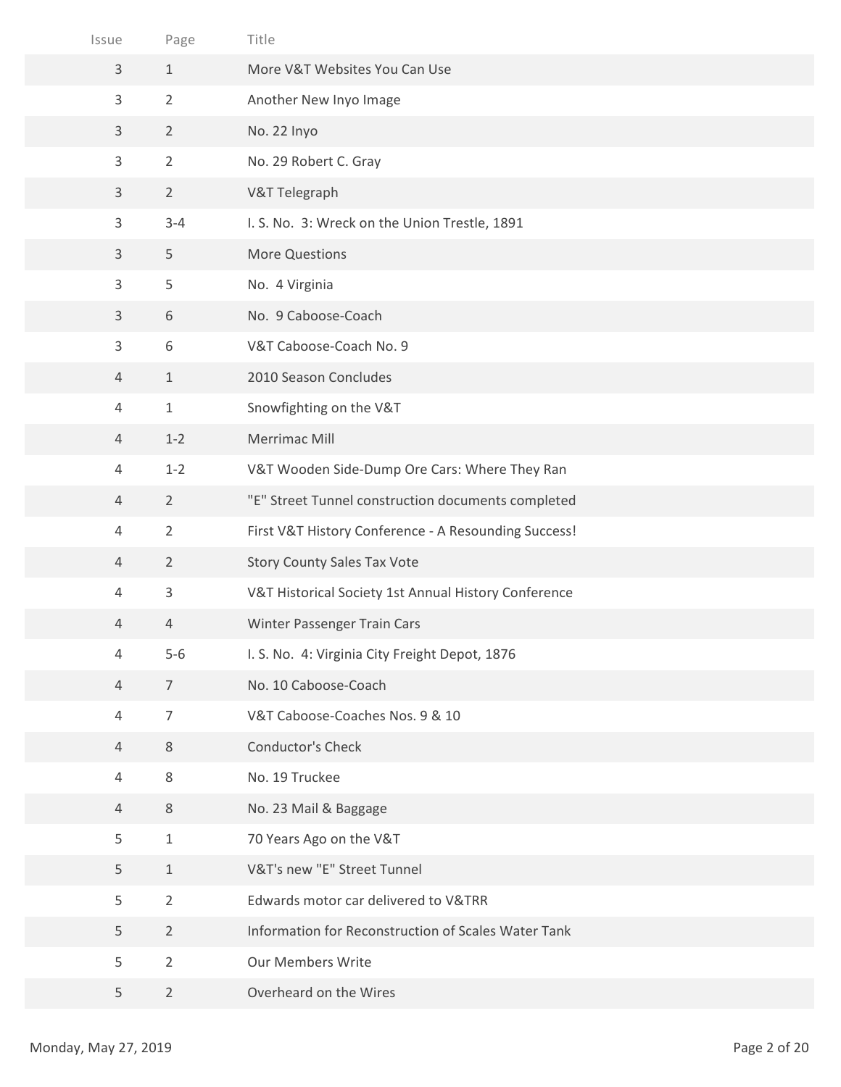| Issue          | Page           | Title                                                |
|----------------|----------------|------------------------------------------------------|
| $\mathsf{3}$   | $\mathbf{1}$   | More V&T Websites You Can Use                        |
| 3              | $\overline{2}$ | Another New Inyo Image                               |
| 3              | $\overline{2}$ | No. 22 Inyo                                          |
| 3              | $\overline{2}$ | No. 29 Robert C. Gray                                |
| $\mathsf{3}$   | $\overline{2}$ | V&T Telegraph                                        |
| 3              | $3 - 4$        | I.S. No. 3: Wreck on the Union Trestle, 1891         |
| 3              | 5              | <b>More Questions</b>                                |
| 3              | 5              | No. 4 Virginia                                       |
| $\mathsf{3}$   | 6              | No. 9 Caboose-Coach                                  |
| 3              | 6              | V&T Caboose-Coach No. 9                              |
| $\overline{4}$ | $\mathbf{1}$   | 2010 Season Concludes                                |
| 4              | $\mathbf{1}$   | Snowfighting on the V&T                              |
| $\overline{4}$ | $1 - 2$        | Merrimac Mill                                        |
| 4              | $1 - 2$        | V&T Wooden Side-Dump Ore Cars: Where They Ran        |
| $\overline{4}$ | $\overline{2}$ | "E" Street Tunnel construction documents completed   |
| 4              | $\overline{2}$ | First V&T History Conference - A Resounding Success! |
| $\overline{4}$ | $\overline{2}$ | <b>Story County Sales Tax Vote</b>                   |
| $\overline{4}$ | 3              | V&T Historical Society 1st Annual History Conference |
| 4              | 4              | Winter Passenger Train Cars                          |
| $\overline{4}$ | $5-6$          | I. S. No. 4: Virginia City Freight Depot, 1876       |
| $\overline{4}$ | $\overline{7}$ | No. 10 Caboose-Coach                                 |
| 4              | $\overline{7}$ | V&T Caboose-Coaches Nos. 9 & 10                      |
| 4              | 8              | Conductor's Check                                    |
| $\overline{4}$ | 8              | No. 19 Truckee                                       |
| $\overline{4}$ | 8              | No. 23 Mail & Baggage                                |
| 5              | $1\,$          | 70 Years Ago on the V&T                              |
| 5              | $\mathbf{1}$   | V&T's new "E" Street Tunnel                          |
| 5              | $\overline{2}$ | Edwards motor car delivered to V&TRR                 |
| 5              | $\overline{2}$ | Information for Reconstruction of Scales Water Tank  |
| 5              | $\overline{2}$ | <b>Our Members Write</b>                             |
| 5              | $\overline{2}$ | Overheard on the Wires                               |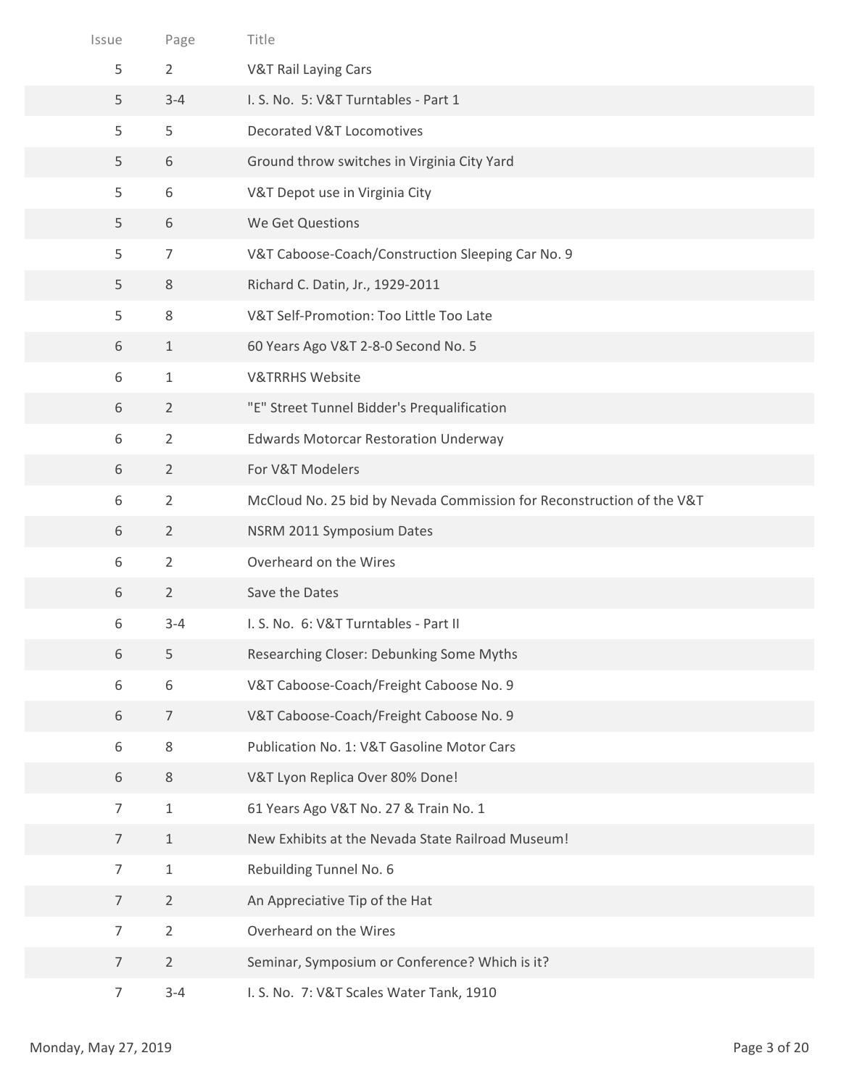| Issue |                | Page           | Title                                                                 |
|-------|----------------|----------------|-----------------------------------------------------------------------|
|       | 5              | $\overline{2}$ | <b>V&amp;T Rail Laying Cars</b>                                       |
|       | 5              | $3 - 4$        | I. S. No. 5: V&T Turntables - Part 1                                  |
|       | 5              | 5              | Decorated V&T Locomotives                                             |
|       | 5              | 6              | Ground throw switches in Virginia City Yard                           |
|       | 5              | 6              | V&T Depot use in Virginia City                                        |
|       | 5              | $6\,$          | We Get Questions                                                      |
|       | 5              | $\overline{7}$ | V&T Caboose-Coach/Construction Sleeping Car No. 9                     |
|       | 5              | 8              | Richard C. Datin, Jr., 1929-2011                                      |
|       | 5              | $\,8\,$        | V&T Self-Promotion: Too Little Too Late                               |
|       | 6              | $\mathbf{1}$   | 60 Years Ago V&T 2-8-0 Second No. 5                                   |
|       | 6              | $1\,$          | <b>V&amp;TRRHS Website</b>                                            |
|       | 6              | $\overline{2}$ | "E" Street Tunnel Bidder's Prequalification                           |
|       | 6              | $\overline{2}$ | <b>Edwards Motorcar Restoration Underway</b>                          |
|       | 6              | $\overline{2}$ | For V&T Modelers                                                      |
|       | 6              | $\overline{2}$ | McCloud No. 25 bid by Nevada Commission for Reconstruction of the V&T |
|       | 6              | $\overline{2}$ | NSRM 2011 Symposium Dates                                             |
|       | 6              | $\overline{2}$ | Overheard on the Wires                                                |
|       | 6              | $\overline{2}$ | Save the Dates                                                        |
|       | 6              | $3 - 4$        | I. S. No. 6: V&T Turntables - Part II                                 |
|       | 6              | 5              | Researching Closer: Debunking Some Myths                              |
|       | 6              | $\,$ 6 $\,$    | V&T Caboose-Coach/Freight Caboose No. 9                               |
|       | 6              | $\overline{7}$ | V&T Caboose-Coach/Freight Caboose No. 9                               |
|       | 6              | $\,8\,$        | Publication No. 1: V&T Gasoline Motor Cars                            |
|       | 6              | $\,8\,$        | V&T Lyon Replica Over 80% Done!                                       |
|       | $\overline{7}$ | $\mathbf 1$    | 61 Years Ago V&T No. 27 & Train No. 1                                 |
|       | $\overline{7}$ | $\mathbf{1}$   | New Exhibits at the Nevada State Railroad Museum!                     |
|       | $\overline{7}$ | $\mathbf{1}$   | Rebuilding Tunnel No. 6                                               |
|       | $\overline{7}$ | $\overline{2}$ | An Appreciative Tip of the Hat                                        |
|       | $\overline{7}$ | $\overline{2}$ | Overheard on the Wires                                                |
|       | $\overline{7}$ | $\overline{2}$ | Seminar, Symposium or Conference? Which is it?                        |
|       | $\overline{7}$ | $3 - 4$        | I. S. No. 7: V&T Scales Water Tank, 1910                              |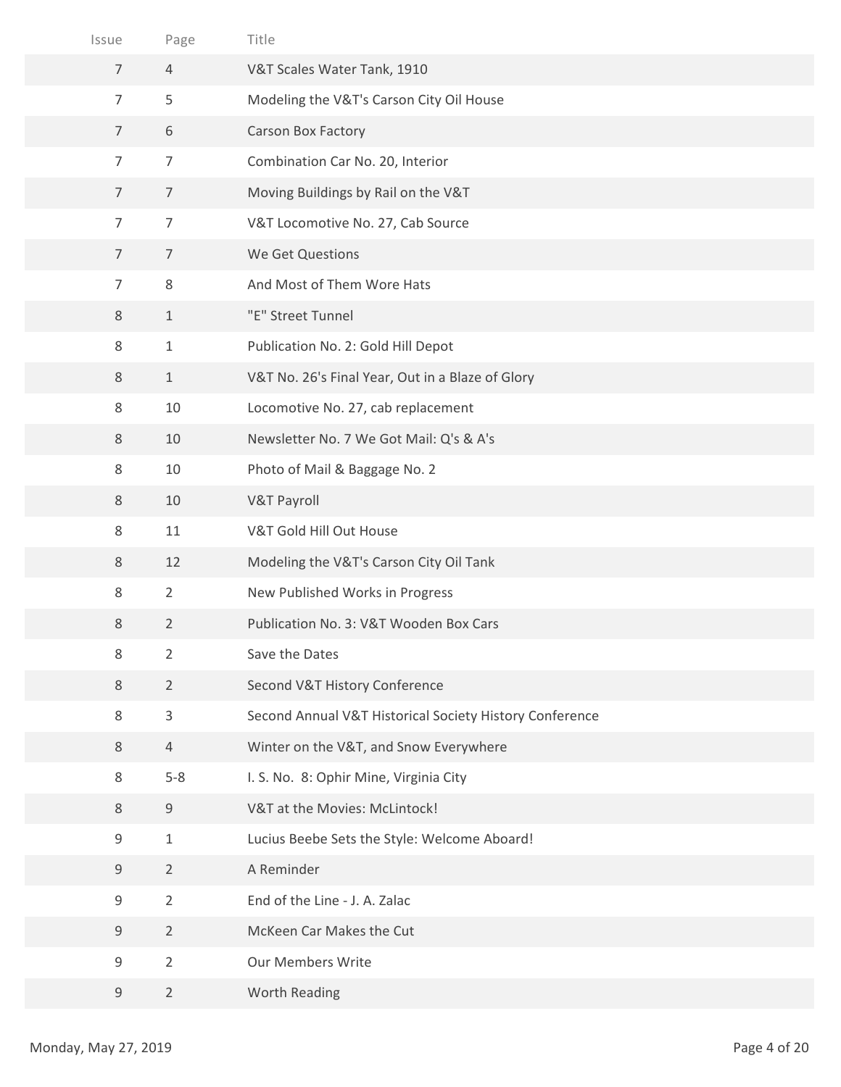| Issue |                | Page           | Title                                                   |
|-------|----------------|----------------|---------------------------------------------------------|
|       | $\overline{7}$ | $\overline{4}$ | V&T Scales Water Tank, 1910                             |
|       | $\overline{7}$ | 5              | Modeling the V&T's Carson City Oil House                |
|       | $\overline{7}$ | 6              | Carson Box Factory                                      |
|       | $\overline{7}$ | $\overline{7}$ | Combination Car No. 20, Interior                        |
|       | $\overline{7}$ | $\overline{7}$ | Moving Buildings by Rail on the V&T                     |
|       | $\overline{7}$ | $\overline{7}$ | V&T Locomotive No. 27, Cab Source                       |
|       | $\overline{7}$ | $\overline{7}$ | We Get Questions                                        |
|       | $\overline{7}$ | $\,8\,$        | And Most of Them Wore Hats                              |
|       | 8              | $\mathbf{1}$   | "E" Street Tunnel                                       |
|       | 8              | $1\,$          | Publication No. 2: Gold Hill Depot                      |
|       | 8              | $\mathbf{1}$   | V&T No. 26's Final Year, Out in a Blaze of Glory        |
|       | 8              | 10             | Locomotive No. 27, cab replacement                      |
|       | 8              | 10             | Newsletter No. 7 We Got Mail: Q's & A's                 |
|       | 8              | 10             | Photo of Mail & Baggage No. 2                           |
|       | 8              | 10             | V&T Payroll                                             |
|       | 8              | 11             | V&T Gold Hill Out House                                 |
|       | 8              | 12             | Modeling the V&T's Carson City Oil Tank                 |
|       | 8              | $\overline{2}$ | New Published Works in Progress                         |
|       | 8              | $\overline{2}$ | Publication No. 3: V&T Wooden Box Cars                  |
|       | 8              | $\overline{2}$ | Save the Dates                                          |
|       | 8              | $\overline{2}$ | Second V&T History Conference                           |
|       | 8              | 3              | Second Annual V&T Historical Society History Conference |
|       | 8              | 4              | Winter on the V&T, and Snow Everywhere                  |
|       | 8              | $5-8$          | I. S. No. 8: Ophir Mine, Virginia City                  |
|       | 8              | 9              | V&T at the Movies: McLintock!                           |
|       | 9              | $1\,$          | Lucius Beebe Sets the Style: Welcome Aboard!            |
|       | 9              | $\overline{2}$ | A Reminder                                              |
|       | 9              | $\overline{2}$ | End of the Line - J. A. Zalac                           |
|       | $\mathsf 9$    | $\overline{2}$ | McKeen Car Makes the Cut                                |
|       | 9              | $\overline{2}$ | Our Members Write                                       |
|       | 9              | $\overline{2}$ | Worth Reading                                           |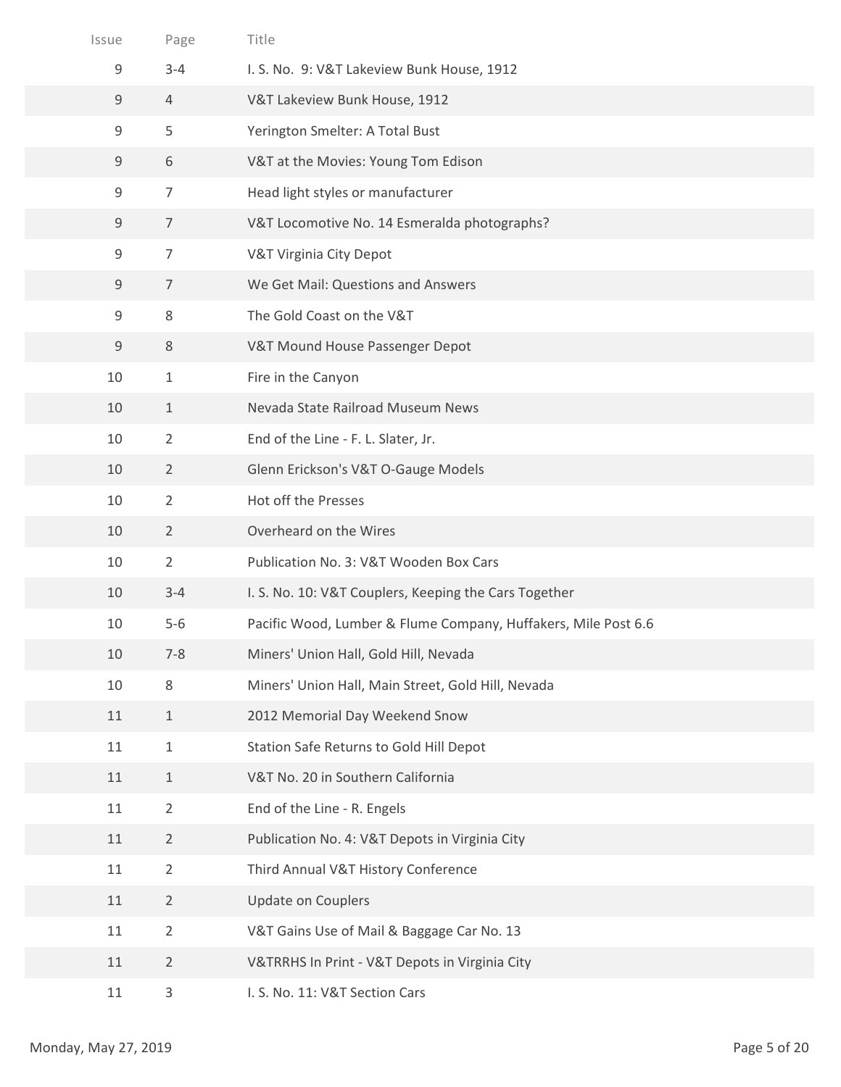| Issue          | Page           | Title                                                          |
|----------------|----------------|----------------------------------------------------------------|
| 9              | $3 - 4$        | I. S. No. 9: V&T Lakeview Bunk House, 1912                     |
| $\overline{9}$ | $\overline{4}$ | V&T Lakeview Bunk House, 1912                                  |
| 9              | 5              | Yerington Smelter: A Total Bust                                |
| 9              | 6              | V&T at the Movies: Young Tom Edison                            |
| $\mathsf 9$    | $\overline{7}$ | Head light styles or manufacturer                              |
| $\overline{9}$ | $\overline{7}$ | V&T Locomotive No. 14 Esmeralda photographs?                   |
| 9              | $\overline{7}$ | V&T Virginia City Depot                                        |
| $9\,$          | $\overline{7}$ | We Get Mail: Questions and Answers                             |
| $\mathsf 9$    | 8              | The Gold Coast on the V&T                                      |
| $9\,$          | $\,8\,$        | V&T Mound House Passenger Depot                                |
| 10             | $\mathbf{1}$   | Fire in the Canyon                                             |
| 10             | $\mathbf{1}$   | Nevada State Railroad Museum News                              |
| 10             | $\overline{2}$ | End of the Line - F. L. Slater, Jr.                            |
| 10             | $\overline{2}$ | Glenn Erickson's V&T O-Gauge Models                            |
| 10             | $\overline{2}$ | Hot off the Presses                                            |
| 10             | $\overline{2}$ | Overheard on the Wires                                         |
| 10             | $\overline{2}$ | Publication No. 3: V&T Wooden Box Cars                         |
| 10             | $3 - 4$        | I. S. No. 10: V&T Couplers, Keeping the Cars Together          |
| 10             | $5-6$          | Pacific Wood, Lumber & Flume Company, Huffakers, Mile Post 6.6 |
| 10             | $7 - 8$        | Miners' Union Hall, Gold Hill, Nevada                          |
| 10             | $\,8\,$        | Miners' Union Hall, Main Street, Gold Hill, Nevada             |
| 11             | $\mathbf{1}$   | 2012 Memorial Day Weekend Snow                                 |
| 11             | $\mathbf{1}$   | Station Safe Returns to Gold Hill Depot                        |
| 11             | $\mathbf{1}$   | V&T No. 20 in Southern California                              |
| 11             | $\overline{2}$ | End of the Line - R. Engels                                    |
| 11             | $\overline{2}$ | Publication No. 4: V&T Depots in Virginia City                 |
| 11             | $\overline{2}$ | Third Annual V&T History Conference                            |
| 11             | $\overline{2}$ | <b>Update on Couplers</b>                                      |
| 11             | $\overline{2}$ | V&T Gains Use of Mail & Baggage Car No. 13                     |
| 11             | $\overline{2}$ | V&TRRHS In Print - V&T Depots in Virginia City                 |
| 11             | $\mathsf{3}$   | I. S. No. 11: V&T Section Cars                                 |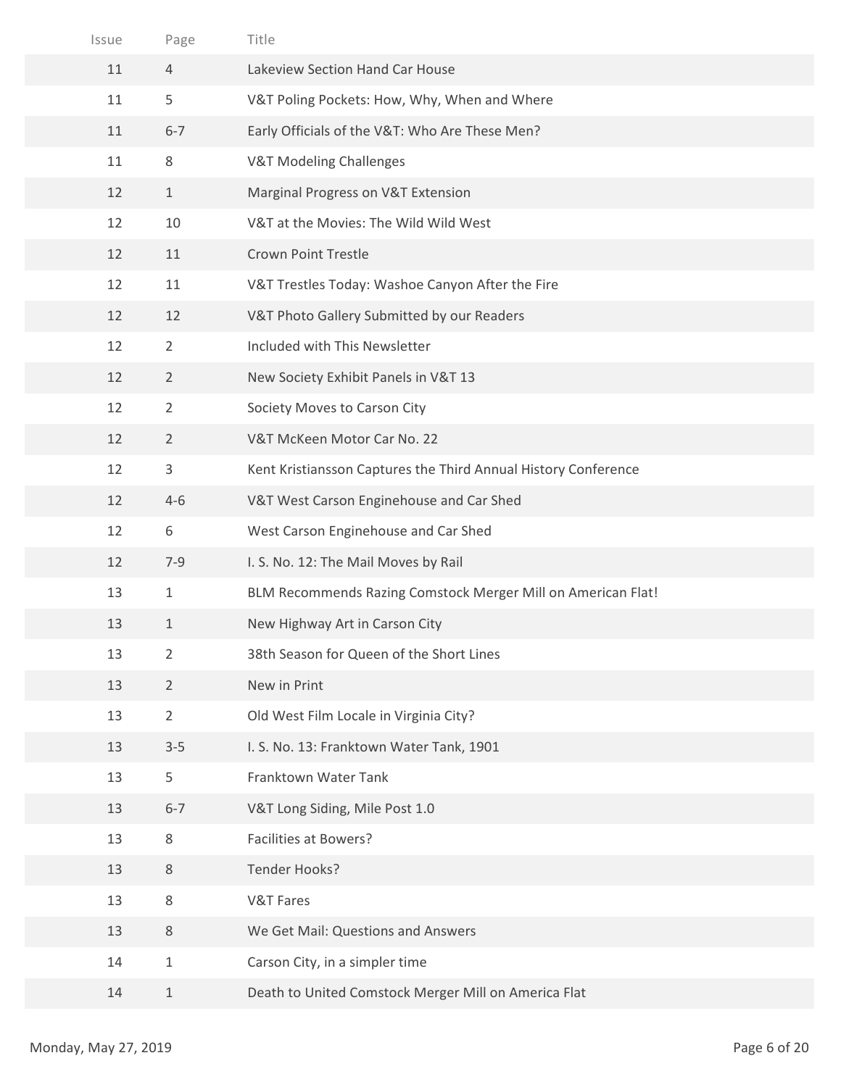| Issue | Page           | Title                                                          |
|-------|----------------|----------------------------------------------------------------|
| 11    | 4              | Lakeview Section Hand Car House                                |
| 11    | 5              | V&T Poling Pockets: How, Why, When and Where                   |
| 11    | $6 - 7$        | Early Officials of the V&T: Who Are These Men?                 |
| 11    | 8              | <b>V&amp;T Modeling Challenges</b>                             |
| 12    | $\mathbf{1}$   | Marginal Progress on V&T Extension                             |
| 12    | 10             | V&T at the Movies: The Wild Wild West                          |
| 12    | 11             | <b>Crown Point Trestle</b>                                     |
| 12    | 11             | V&T Trestles Today: Washoe Canyon After the Fire               |
| 12    | 12             | V&T Photo Gallery Submitted by our Readers                     |
| 12    | $\overline{2}$ | Included with This Newsletter                                  |
| 12    | $\overline{2}$ | New Society Exhibit Panels in V&T 13                           |
| 12    | $\overline{2}$ | Society Moves to Carson City                                   |
| 12    | $\overline{2}$ | V&T McKeen Motor Car No. 22                                    |
| 12    | 3              | Kent Kristiansson Captures the Third Annual History Conference |
| 12    | $4 - 6$        | V&T West Carson Enginehouse and Car Shed                       |
| 12    | 6              | West Carson Enginehouse and Car Shed                           |
| 12    | $7 - 9$        | I. S. No. 12: The Mail Moves by Rail                           |
| 13    | $\mathbf{1}$   | BLM Recommends Razing Comstock Merger Mill on American Flat!   |
| 13    | $\mathbf{1}$   | New Highway Art in Carson City                                 |
| 13    | $\overline{2}$ | 38th Season for Queen of the Short Lines                       |
| 13    | $\overline{2}$ | New in Print                                                   |
| 13    | $\overline{2}$ | Old West Film Locale in Virginia City?                         |
| 13    | $3 - 5$        | I. S. No. 13: Franktown Water Tank, 1901                       |
| 13    | 5              | Franktown Water Tank                                           |
| 13    | $6 - 7$        | V&T Long Siding, Mile Post 1.0                                 |
| 13    | 8              | <b>Facilities at Bowers?</b>                                   |
| 13    | 8              | Tender Hooks?                                                  |
| 13    | $\,8\,$        | <b>V&amp;T Fares</b>                                           |
| 13    | 8              | We Get Mail: Questions and Answers                             |
| 14    | $1\,$          | Carson City, in a simpler time                                 |
| 14    | $\mathbf 1$    | Death to United Comstock Merger Mill on America Flat           |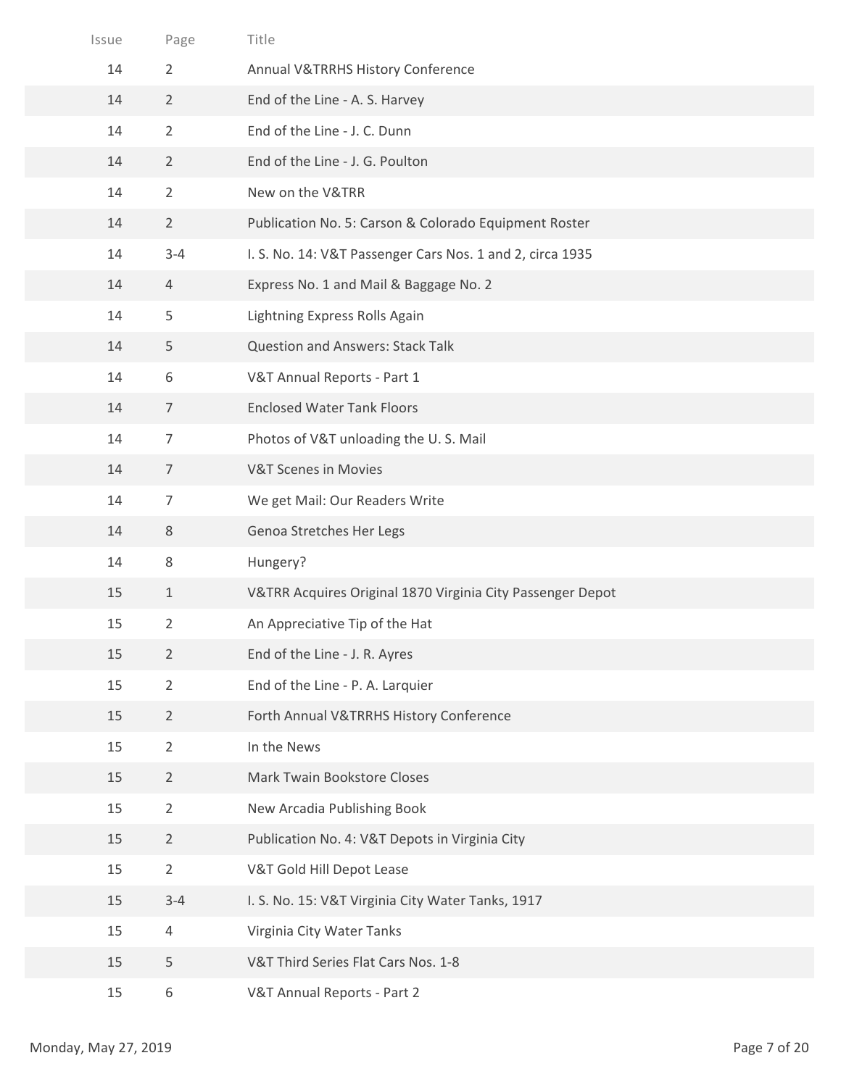| Issue | Page           | Title                                                      |
|-------|----------------|------------------------------------------------------------|
| 14    | $\overline{2}$ | Annual V&TRRHS History Conference                          |
| 14    | $\overline{2}$ | End of the Line - A. S. Harvey                             |
| 14    | $\overline{2}$ | End of the Line - J. C. Dunn                               |
| 14    | $\overline{2}$ | End of the Line - J. G. Poulton                            |
| 14    | $\overline{2}$ | New on the V&TRR                                           |
| 14    | $\overline{2}$ | Publication No. 5: Carson & Colorado Equipment Roster      |
| 14    | $3 - 4$        | I. S. No. 14: V&T Passenger Cars Nos. 1 and 2, circa 1935  |
| 14    | $\overline{4}$ | Express No. 1 and Mail & Baggage No. 2                     |
| 14    | 5              | Lightning Express Rolls Again                              |
| 14    | 5              | <b>Question and Answers: Stack Talk</b>                    |
| 14    | 6              | V&T Annual Reports - Part 1                                |
| 14    | $\overline{7}$ | <b>Enclosed Water Tank Floors</b>                          |
| 14    | $\overline{7}$ | Photos of V&T unloading the U.S. Mail                      |
| 14    | $\overline{7}$ | <b>V&amp;T Scenes in Movies</b>                            |
| 14    | $\overline{7}$ | We get Mail: Our Readers Write                             |
| 14    | $\,8\,$        | Genoa Stretches Her Legs                                   |
| 14    | $\,8\,$        | Hungery?                                                   |
| 15    | $\mathbf{1}$   | V&TRR Acquires Original 1870 Virginia City Passenger Depot |
| 15    | $\overline{2}$ | An Appreciative Tip of the Hat                             |
| 15    | $\overline{2}$ | End of the Line - J. R. Ayres                              |
| 15    | $\overline{2}$ | End of the Line - P. A. Larquier                           |
| 15    | $\overline{2}$ | Forth Annual V&TRRHS History Conference                    |
| 15    | $\overline{2}$ | In the News                                                |
| 15    | $\overline{2}$ | Mark Twain Bookstore Closes                                |
| 15    | $\overline{2}$ | New Arcadia Publishing Book                                |
| 15    | $\overline{2}$ | Publication No. 4: V&T Depots in Virginia City             |
| 15    | $\overline{2}$ | V&T Gold Hill Depot Lease                                  |
| 15    | $3 - 4$        | I. S. No. 15: V&T Virginia City Water Tanks, 1917          |
| 15    | $\sqrt{4}$     | Virginia City Water Tanks                                  |
| 15    | 5              | V&T Third Series Flat Cars Nos. 1-8                        |
| 15    | $\,$ 6 $\,$    | V&T Annual Reports - Part 2                                |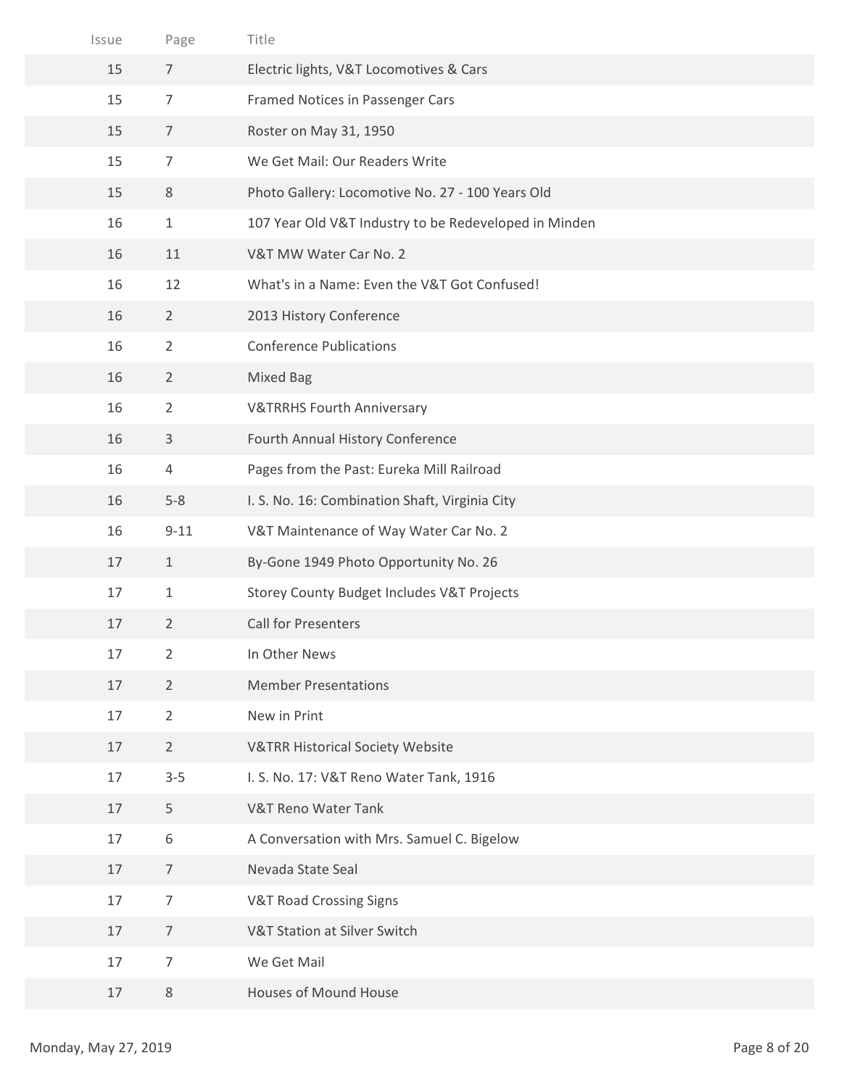| Issue | Page           | Title                                                 |
|-------|----------------|-------------------------------------------------------|
| 15    | $\overline{7}$ | Electric lights, V&T Locomotives & Cars               |
| 15    | $\overline{7}$ | Framed Notices in Passenger Cars                      |
| 15    | $\overline{7}$ | Roster on May 31, 1950                                |
| 15    | $\overline{7}$ | We Get Mail: Our Readers Write                        |
| 15    | 8              | Photo Gallery: Locomotive No. 27 - 100 Years Old      |
| 16    | $\mathbf 1$    | 107 Year Old V&T Industry to be Redeveloped in Minden |
| 16    | 11             | V&T MW Water Car No. 2                                |
| 16    | 12             | What's in a Name: Even the V&T Got Confused!          |
| 16    | $\overline{2}$ | 2013 History Conference                               |
| 16    | $\overline{2}$ | <b>Conference Publications</b>                        |
| 16    | $\overline{2}$ | Mixed Bag                                             |
| 16    | $\overline{2}$ | <b>V&amp;TRRHS Fourth Anniversary</b>                 |
| 16    | $\mathsf{3}$   | Fourth Annual History Conference                      |
| 16    | $\overline{4}$ | Pages from the Past: Eureka Mill Railroad             |
| 16    | $5 - 8$        | I. S. No. 16: Combination Shaft, Virginia City        |
| 16    | $9 - 11$       | V&T Maintenance of Way Water Car No. 2                |
| 17    | $\mathbf{1}$   | By-Gone 1949 Photo Opportunity No. 26                 |
| 17    | $\mathbf 1$    | Storey County Budget Includes V&T Projects            |
| 17    | $\overline{2}$ | Call for Presenters                                   |
| 17    | $\overline{2}$ | In Other News                                         |
| 17    | $\overline{2}$ | <b>Member Presentations</b>                           |
| 17    | $\overline{2}$ | New in Print                                          |
| 17    | $\overline{2}$ | <b>V&amp;TRR Historical Society Website</b>           |
| 17    | $3 - 5$        | I. S. No. 17: V&T Reno Water Tank, 1916               |
| 17    | 5              | <b>V&amp;T Reno Water Tank</b>                        |
| 17    | 6              | A Conversation with Mrs. Samuel C. Bigelow            |
| 17    | $\overline{7}$ | Nevada State Seal                                     |
| 17    | $\overline{7}$ | V&T Road Crossing Signs                               |
| 17    | $\overline{7}$ | V&T Station at Silver Switch                          |
| 17    | $\overline{7}$ | We Get Mail                                           |
| 17    | 8              | Houses of Mound House                                 |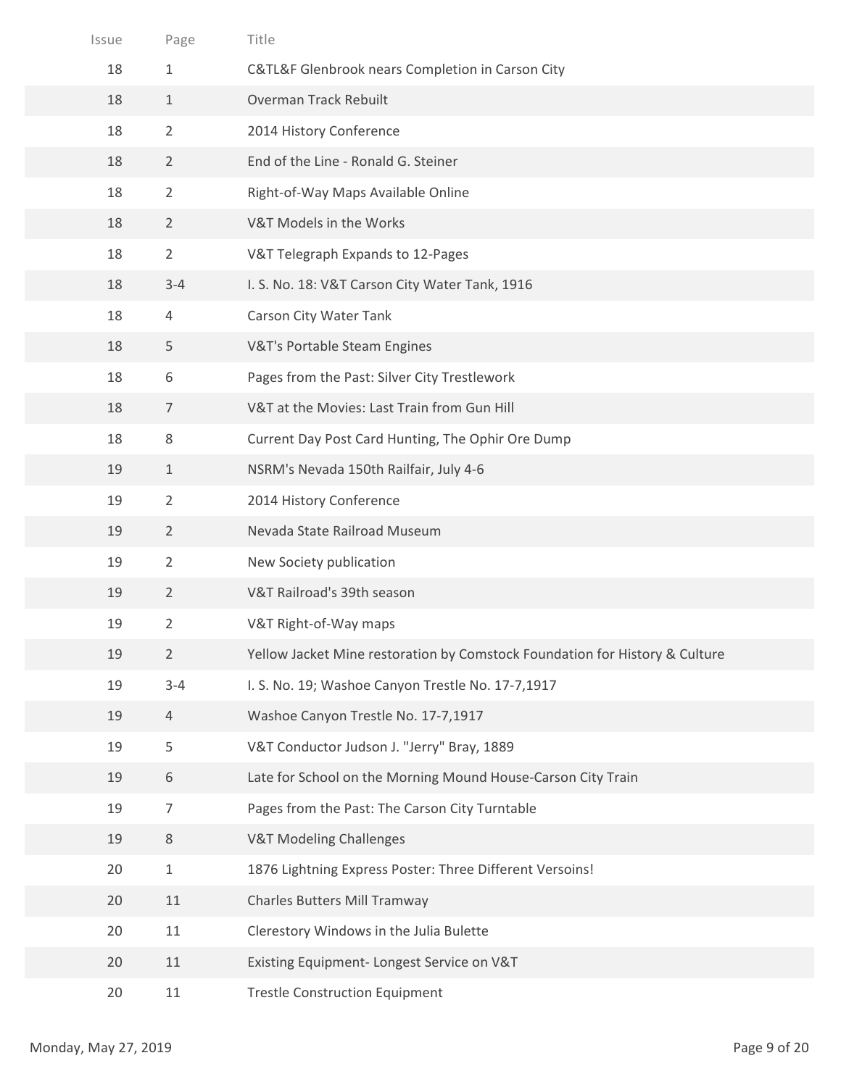| Issue | Page           | Title                                                                       |
|-------|----------------|-----------------------------------------------------------------------------|
| 18    | $\mathbf 1$    | C&TL&F Glenbrook nears Completion in Carson City                            |
| 18    | $\mathbf{1}$   | Overman Track Rebuilt                                                       |
| 18    | $\overline{2}$ | 2014 History Conference                                                     |
| 18    | $\overline{2}$ | End of the Line - Ronald G. Steiner                                         |
| 18    | $\overline{2}$ | Right-of-Way Maps Available Online                                          |
| 18    | $\overline{2}$ | V&T Models in the Works                                                     |
| 18    | $\overline{2}$ | V&T Telegraph Expands to 12-Pages                                           |
| 18    | $3 - 4$        | I. S. No. 18: V&T Carson City Water Tank, 1916                              |
| 18    | $\overline{4}$ | Carson City Water Tank                                                      |
| 18    | 5              | V&T's Portable Steam Engines                                                |
| 18    | 6              | Pages from the Past: Silver City Trestlework                                |
| 18    | $\overline{7}$ | V&T at the Movies: Last Train from Gun Hill                                 |
| 18    | 8              | Current Day Post Card Hunting, The Ophir Ore Dump                           |
| 19    | $\mathbf{1}$   | NSRM's Nevada 150th Railfair, July 4-6                                      |
| 19    | $\overline{2}$ | 2014 History Conference                                                     |
| 19    | $\overline{2}$ | Nevada State Railroad Museum                                                |
| 19    | $\overline{2}$ | New Society publication                                                     |
| 19    | $\overline{2}$ | V&T Railroad's 39th season                                                  |
| 19    | $\overline{2}$ | V&T Right-of-Way maps                                                       |
| 19    | $\overline{2}$ | Yellow Jacket Mine restoration by Comstock Foundation for History & Culture |
| 19    | $3 - 4$        | I. S. No. 19; Washoe Canyon Trestle No. 17-7,1917                           |
| 19    | 4              | Washoe Canyon Trestle No. 17-7,1917                                         |
| 19    | 5              | V&T Conductor Judson J. "Jerry" Bray, 1889                                  |
| 19    | $\,$ 6 $\,$    | Late for School on the Morning Mound House-Carson City Train                |
| 19    | 7              | Pages from the Past: The Carson City Turntable                              |
| 19    | $\,8\,$        | <b>V&amp;T Modeling Challenges</b>                                          |
| 20    | $1\,$          | 1876 Lightning Express Poster: Three Different Versoins!                    |
| 20    | 11             | Charles Butters Mill Tramway                                                |
| 20    | 11             | Clerestory Windows in the Julia Bulette                                     |
| 20    | 11             | Existing Equipment- Longest Service on V&T                                  |
| 20    | $11\,$         | <b>Trestle Construction Equipment</b>                                       |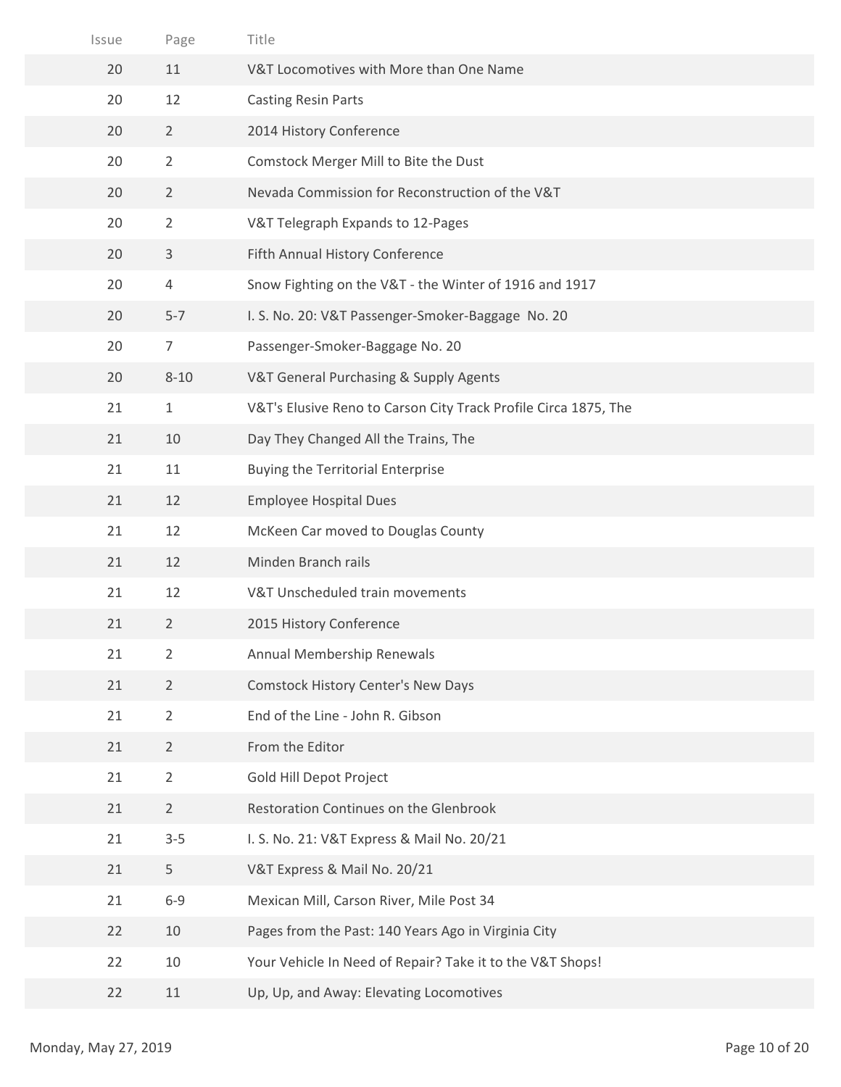| Issue | Page           | Title                                                           |
|-------|----------------|-----------------------------------------------------------------|
| 20    | 11             | V&T Locomotives with More than One Name                         |
| 20    | 12             | <b>Casting Resin Parts</b>                                      |
| 20    | $\overline{2}$ | 2014 History Conference                                         |
| 20    | $\overline{2}$ | Comstock Merger Mill to Bite the Dust                           |
| 20    | $\overline{2}$ | Nevada Commission for Reconstruction of the V&T                 |
| 20    | $\overline{2}$ | V&T Telegraph Expands to 12-Pages                               |
| 20    | 3              | Fifth Annual History Conference                                 |
| 20    | $\overline{4}$ | Snow Fighting on the V&T - the Winter of 1916 and 1917          |
| 20    | $5 - 7$        | I. S. No. 20: V&T Passenger-Smoker-Baggage No. 20               |
| 20    | $\overline{7}$ | Passenger-Smoker-Baggage No. 20                                 |
| 20    | $8 - 10$       | V&T General Purchasing & Supply Agents                          |
| 21    | $\mathbf{1}$   | V&T's Elusive Reno to Carson City Track Profile Circa 1875, The |
| 21    | 10             | Day They Changed All the Trains, The                            |
| 21    | 11             | <b>Buying the Territorial Enterprise</b>                        |
| 21    | 12             | <b>Employee Hospital Dues</b>                                   |
| 21    | 12             | McKeen Car moved to Douglas County                              |
| 21    | 12             | Minden Branch rails                                             |
| 21    | 12             | V&T Unscheduled train movements                                 |
| 21    | $\overline{2}$ | 2015 History Conference                                         |
| 21    | $\overline{2}$ | Annual Membership Renewals                                      |
| 21    | $\overline{2}$ | Comstock History Center's New Days                              |
| 21    | $\overline{2}$ | End of the Line - John R. Gibson                                |
| 21    | $\overline{2}$ | From the Editor                                                 |
| 21    | $\overline{2}$ | Gold Hill Depot Project                                         |
| 21    | $2^{\circ}$    | Restoration Continues on the Glenbrook                          |
| 21    | $3 - 5$        | I. S. No. 21: V&T Express & Mail No. 20/21                      |
| 21    | 5              | V&T Express & Mail No. 20/21                                    |
| 21    | $6 - 9$        | Mexican Mill, Carson River, Mile Post 34                        |
| 22    | 10             | Pages from the Past: 140 Years Ago in Virginia City             |
| 22    | 10             | Your Vehicle In Need of Repair? Take it to the V&T Shops!       |
| 22    | 11             | Up, Up, and Away: Elevating Locomotives                         |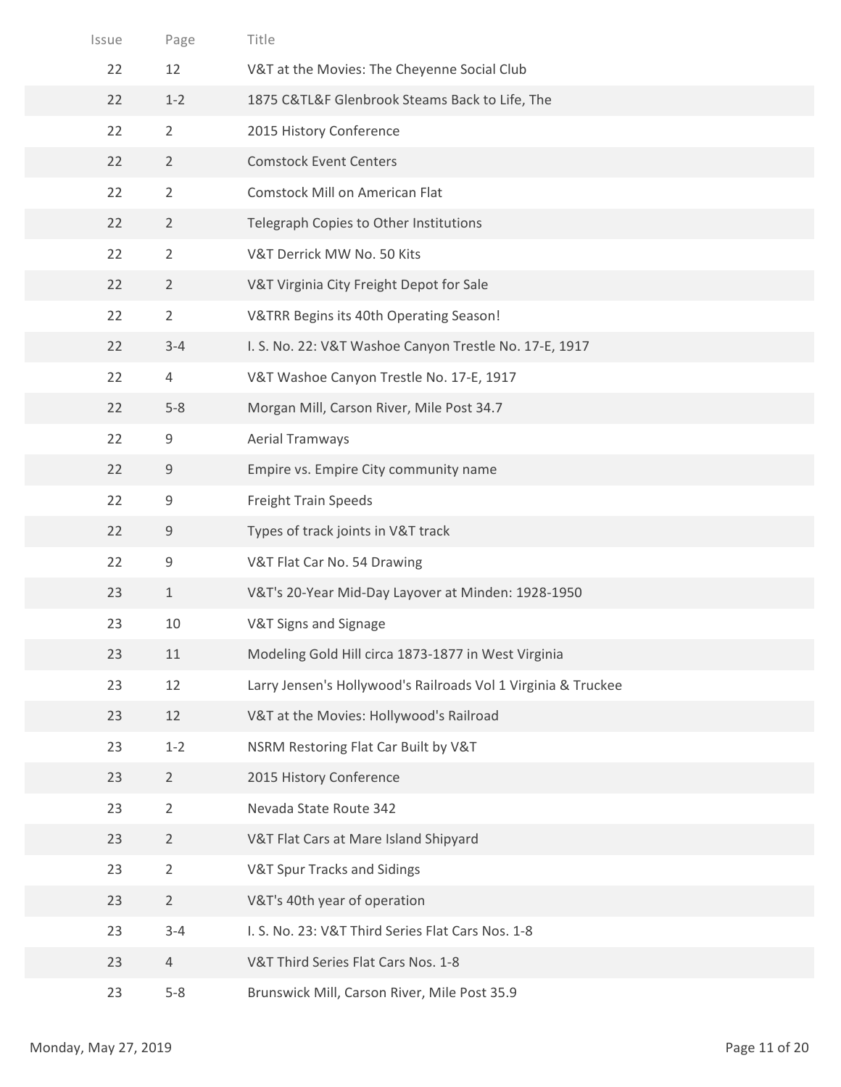| Issue | Page            | Title                                                         |
|-------|-----------------|---------------------------------------------------------------|
| 22    | 12              | V&T at the Movies: The Cheyenne Social Club                   |
| 22    | $1 - 2$         | 1875 C&TL&F Glenbrook Steams Back to Life, The                |
| 22    | $\overline{2}$  | 2015 History Conference                                       |
| 22    | $\overline{2}$  | <b>Comstock Event Centers</b>                                 |
| 22    | $\overline{2}$  | <b>Comstock Mill on American Flat</b>                         |
| 22    | $\overline{2}$  | Telegraph Copies to Other Institutions                        |
| 22    | $\overline{2}$  | V&T Derrick MW No. 50 Kits                                    |
| 22    | $\overline{2}$  | V&T Virginia City Freight Depot for Sale                      |
| 22    | $\overline{2}$  | V&TRR Begins its 40th Operating Season!                       |
| 22    | $3 - 4$         | I. S. No. 22: V&T Washoe Canyon Trestle No. 17-E, 1917        |
| 22    | $\overline{4}$  | V&T Washoe Canyon Trestle No. 17-E, 1917                      |
| 22    | $5 - 8$         | Morgan Mill, Carson River, Mile Post 34.7                     |
| 22    | 9               | <b>Aerial Tramways</b>                                        |
| 22    | $\mathsf 9$     | Empire vs. Empire City community name                         |
| 22    | 9               | <b>Freight Train Speeds</b>                                   |
| 22    | $\mathsf 9$     | Types of track joints in V&T track                            |
| 22    | $\mathsf 9$     | V&T Flat Car No. 54 Drawing                                   |
| 23    | $\mathbf{1}$    | V&T's 20-Year Mid-Day Layover at Minden: 1928-1950            |
| 23    | 10              | V&T Signs and Signage                                         |
| 23    | 11              | Modeling Gold Hill circa 1873-1877 in West Virginia           |
| 23    | 12              | Larry Jensen's Hollywood's Railroads Vol 1 Virginia & Truckee |
| 23    | 12              | V&T at the Movies: Hollywood's Railroad                       |
| 23    | $1 - 2$         | NSRM Restoring Flat Car Built by V&T                          |
| 23    | $\overline{2}$  | 2015 History Conference                                       |
| 23    | $\overline{2}$  | Nevada State Route 342                                        |
| 23    | $\overline{2}$  | V&T Flat Cars at Mare Island Shipyard                         |
| 23    | $\overline{2}$  | V&T Spur Tracks and Sidings                                   |
| 23    | $2\overline{ }$ | V&T's 40th year of operation                                  |
| 23    | $3 - 4$         | I. S. No. 23: V&T Third Series Flat Cars Nos. 1-8             |
| 23    | $\overline{4}$  | V&T Third Series Flat Cars Nos. 1-8                           |
| 23    | $5 - 8$         | Brunswick Mill, Carson River, Mile Post 35.9                  |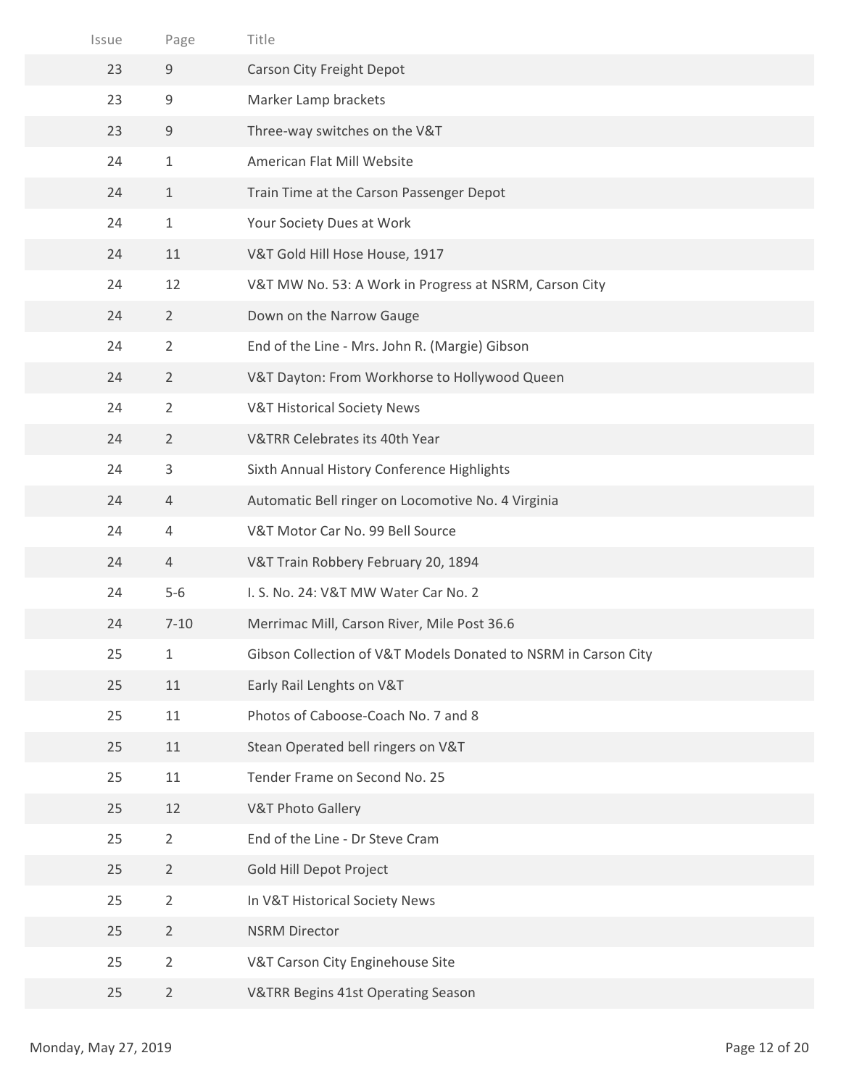| Issue | Page           | Title                                                          |
|-------|----------------|----------------------------------------------------------------|
| 23    | $\mathsf 9$    | Carson City Freight Depot                                      |
| 23    | 9              | Marker Lamp brackets                                           |
| 23    | 9              | Three-way switches on the V&T                                  |
| 24    | $\mathbf{1}$   | American Flat Mill Website                                     |
| 24    | $1\,$          | Train Time at the Carson Passenger Depot                       |
| 24    | $\mathbf{1}$   | Your Society Dues at Work                                      |
| 24    | 11             | V&T Gold Hill Hose House, 1917                                 |
| 24    | 12             | V&T MW No. 53: A Work in Progress at NSRM, Carson City         |
| 24    | $\overline{2}$ | Down on the Narrow Gauge                                       |
| 24    | $\overline{2}$ | End of the Line - Mrs. John R. (Margie) Gibson                 |
| 24    | $\overline{2}$ | V&T Dayton: From Workhorse to Hollywood Queen                  |
| 24    | $\overline{2}$ | <b>V&amp;T Historical Society News</b>                         |
| 24    | $\overline{2}$ | V&TRR Celebrates its 40th Year                                 |
| 24    | $\mathsf{3}$   | Sixth Annual History Conference Highlights                     |
| 24    | 4              | Automatic Bell ringer on Locomotive No. 4 Virginia             |
| 24    | $\overline{4}$ | V&T Motor Car No. 99 Bell Source                               |
| 24    | $\overline{4}$ | V&T Train Robbery February 20, 1894                            |
| 24    | $5-6$          | I. S. No. 24: V&T MW Water Car No. 2                           |
| 24    | $7 - 10$       | Merrimac Mill, Carson River, Mile Post 36.6                    |
| 25    | $\mathbf{1}$   | Gibson Collection of V&T Models Donated to NSRM in Carson City |
| 25    | 11             | Early Rail Lenghts on V&T                                      |
| 25    | 11             | Photos of Caboose-Coach No. 7 and 8                            |
| 25    | 11             | Stean Operated bell ringers on V&T                             |
| 25    | 11             | Tender Frame on Second No. 25                                  |
| 25    | 12             | <b>V&amp;T Photo Gallery</b>                                   |
| 25    | $\overline{2}$ | End of the Line - Dr Steve Cram                                |
| 25    | $\overline{2}$ | Gold Hill Depot Project                                        |
| 25    | $\overline{2}$ | In V&T Historical Society News                                 |
| 25    | $\overline{2}$ | <b>NSRM Director</b>                                           |
| 25    | $\overline{2}$ | V&T Carson City Enginehouse Site                               |
| 25    | $\overline{2}$ | V&TRR Begins 41st Operating Season                             |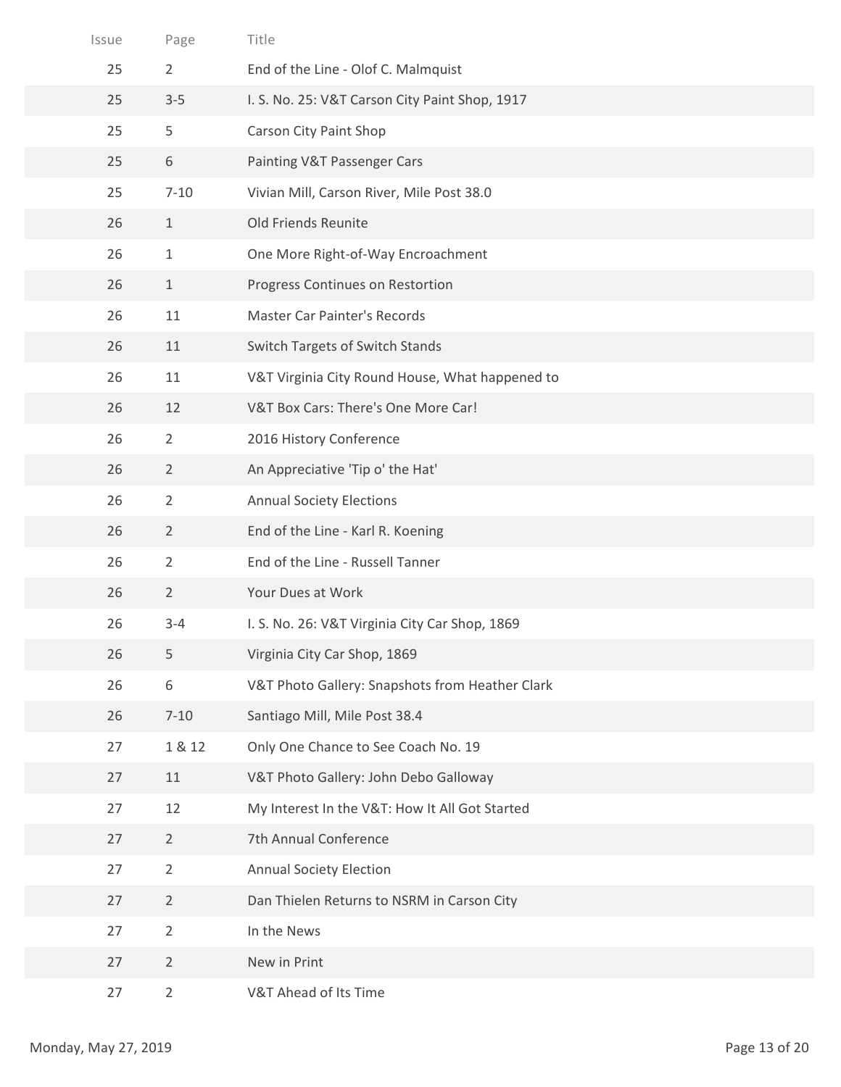| Issue | Page           | Title                                           |
|-------|----------------|-------------------------------------------------|
| 25    | $\overline{2}$ | End of the Line - Olof C. Malmquist             |
| 25    | $3 - 5$        | I. S. No. 25: V&T Carson City Paint Shop, 1917  |
| 25    | 5              | Carson City Paint Shop                          |
| 25    | 6              | Painting V&T Passenger Cars                     |
| 25    | $7 - 10$       | Vivian Mill, Carson River, Mile Post 38.0       |
| 26    | $\mathbf{1}$   | Old Friends Reunite                             |
| 26    | 1              | One More Right-of-Way Encroachment              |
| 26    | $\mathbf{1}$   | Progress Continues on Restortion                |
| 26    | 11             | <b>Master Car Painter's Records</b>             |
| 26    | 11             | Switch Targets of Switch Stands                 |
| 26    | 11             | V&T Virginia City Round House, What happened to |
| 26    | 12             | V&T Box Cars: There's One More Car!             |
| 26    | $\overline{2}$ | 2016 History Conference                         |
| 26    | $\overline{2}$ | An Appreciative 'Tip o' the Hat'                |
| 26    | $\overline{2}$ | <b>Annual Society Elections</b>                 |
| 26    | $\overline{2}$ | End of the Line - Karl R. Koening               |
| 26    | $\overline{2}$ | End of the Line - Russell Tanner                |
| 26    | $\overline{2}$ | Your Dues at Work                               |
| 26    | $3 - 4$        | I. S. No. 26: V&T Virginia City Car Shop, 1869  |
| 26    | 5              | Virginia City Car Shop, 1869                    |
| 26    | 6              | V&T Photo Gallery: Snapshots from Heather Clark |
| 26    | $7 - 10$       | Santiago Mill, Mile Post 38.4                   |
| 27    | 1 & 12         | Only One Chance to See Coach No. 19             |
| 27    | 11             | V&T Photo Gallery: John Debo Galloway           |
| 27    | 12             | My Interest In the V&T: How It All Got Started  |
| 27    | $2^{\circ}$    | 7th Annual Conference                           |
| 27    | $\overline{2}$ | <b>Annual Society Election</b>                  |
| 27    | $\overline{2}$ | Dan Thielen Returns to NSRM in Carson City      |
| 27    | $\overline{2}$ | In the News                                     |
| 27    | $\overline{2}$ | New in Print                                    |
| 27    | $\overline{2}$ | V&T Ahead of Its Time                           |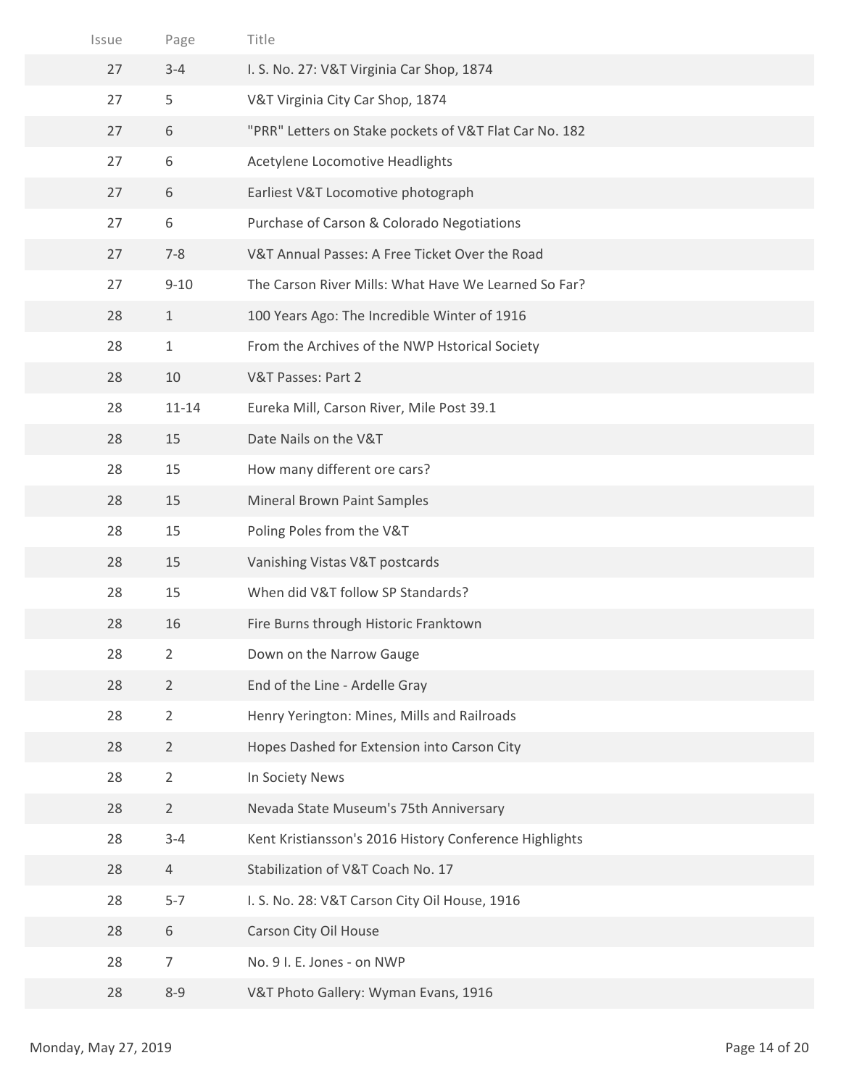| Issue | Page           | Title                                                  |
|-------|----------------|--------------------------------------------------------|
| 27    | $3 - 4$        | I. S. No. 27: V&T Virginia Car Shop, 1874              |
| 27    | 5              | V&T Virginia City Car Shop, 1874                       |
| 27    | 6              | "PRR" Letters on Stake pockets of V&T Flat Car No. 182 |
| 27    | 6              | Acetylene Locomotive Headlights                        |
| 27    | 6              | Earliest V&T Locomotive photograph                     |
| 27    | 6              | Purchase of Carson & Colorado Negotiations             |
| 27    | $7 - 8$        | V&T Annual Passes: A Free Ticket Over the Road         |
| 27    | $9 - 10$       | The Carson River Mills: What Have We Learned So Far?   |
| 28    | $\mathbf{1}$   | 100 Years Ago: The Incredible Winter of 1916           |
| 28    | $\mathbf 1$    | From the Archives of the NWP Hstorical Society         |
| 28    | 10             | V&T Passes: Part 2                                     |
| 28    | $11 - 14$      | Eureka Mill, Carson River, Mile Post 39.1              |
| 28    | 15             | Date Nails on the V&T                                  |
| 28    | 15             | How many different ore cars?                           |
| 28    | 15             | Mineral Brown Paint Samples                            |
| 28    | 15             | Poling Poles from the V&T                              |
| 28    | 15             | Vanishing Vistas V&T postcards                         |
| 28    | 15             | When did V&T follow SP Standards?                      |
| 28    | 16             | Fire Burns through Historic Franktown                  |
| 28    | $\overline{2}$ | Down on the Narrow Gauge                               |
| 28    | $\overline{2}$ | End of the Line - Ardelle Gray                         |
| 28    | $\overline{2}$ | Henry Yerington: Mines, Mills and Railroads            |
| 28    | $\overline{2}$ | Hopes Dashed for Extension into Carson City            |
| 28    | $\overline{2}$ | In Society News                                        |
| 28    | $2^{\circ}$    | Nevada State Museum's 75th Anniversary                 |
| 28    | $3 - 4$        | Kent Kristiansson's 2016 History Conference Highlights |
| 28    | 4              | Stabilization of V&T Coach No. 17                      |
| 28    | $5 - 7$        | I. S. No. 28: V&T Carson City Oil House, 1916          |
| 28    | 6              | Carson City Oil House                                  |
| 28    | $\overline{7}$ | No. 9 I. E. Jones - on NWP                             |
| 28    | $8 - 9$        | V&T Photo Gallery: Wyman Evans, 1916                   |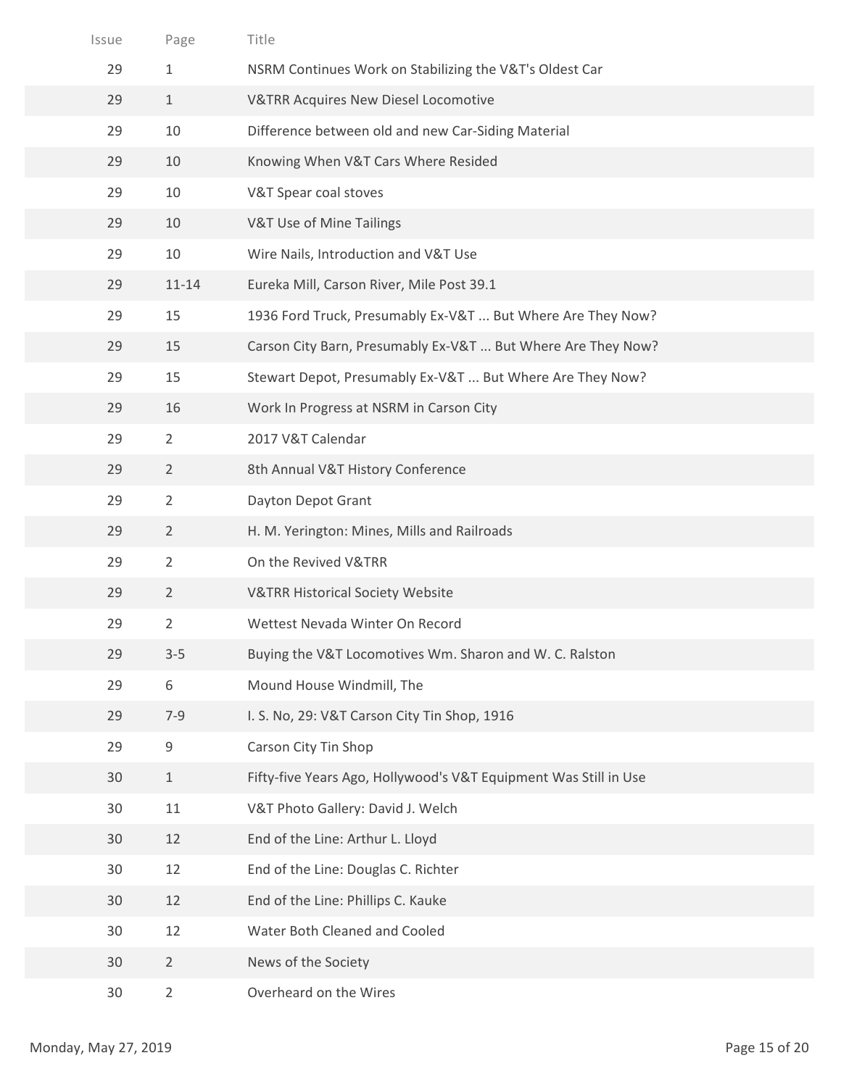| Issue | Page           | Title                                                            |
|-------|----------------|------------------------------------------------------------------|
| 29    | $\mathbf{1}$   | NSRM Continues Work on Stabilizing the V&T's Oldest Car          |
| 29    | $\mathbf{1}$   | V&TRR Acquires New Diesel Locomotive                             |
| 29    | 10             | Difference between old and new Car-Siding Material               |
| 29    | 10             | Knowing When V&T Cars Where Resided                              |
| 29    | 10             | V&T Spear coal stoves                                            |
| 29    | 10             | V&T Use of Mine Tailings                                         |
| 29    | 10             | Wire Nails, Introduction and V&T Use                             |
| 29    | $11 - 14$      | Eureka Mill, Carson River, Mile Post 39.1                        |
| 29    | 15             | 1936 Ford Truck, Presumably Ex-V&T  But Where Are They Now?      |
| 29    | 15             | Carson City Barn, Presumably Ex-V&T  But Where Are They Now?     |
| 29    | 15             | Stewart Depot, Presumably Ex-V&T  But Where Are They Now?        |
| 29    | 16             | Work In Progress at NSRM in Carson City                          |
| 29    | $\overline{2}$ | 2017 V&T Calendar                                                |
| 29    | $\overline{2}$ | 8th Annual V&T History Conference                                |
| 29    | $\overline{2}$ | Dayton Depot Grant                                               |
| 29    | $\overline{2}$ | H. M. Yerington: Mines, Mills and Railroads                      |
| 29    | $\overline{2}$ | On the Revived V&TRR                                             |
| 29    | $\overline{2}$ | <b>V&amp;TRR Historical Society Website</b>                      |
| 29    | $\overline{2}$ | Wettest Nevada Winter On Record                                  |
| 29    | $3 - 5$        | Buying the V&T Locomotives Wm. Sharon and W. C. Ralston          |
| 29    | $\,$ 6 $\,$    | Mound House Windmill, The                                        |
| 29    | $7 - 9$        | I. S. No, 29: V&T Carson City Tin Shop, 1916                     |
| 29    | $\mathsf 9$    | Carson City Tin Shop                                             |
| 30    | $\mathbf{1}$   | Fifty-five Years Ago, Hollywood's V&T Equipment Was Still in Use |
| 30    | 11             | V&T Photo Gallery: David J. Welch                                |
| 30    | 12             | End of the Line: Arthur L. Lloyd                                 |
| 30    | 12             | End of the Line: Douglas C. Richter                              |
| 30    | 12             | End of the Line: Phillips C. Kauke                               |
| 30    | 12             | Water Both Cleaned and Cooled                                    |
| 30    | $\overline{2}$ | News of the Society                                              |
| 30    | $\overline{2}$ | Overheard on the Wires                                           |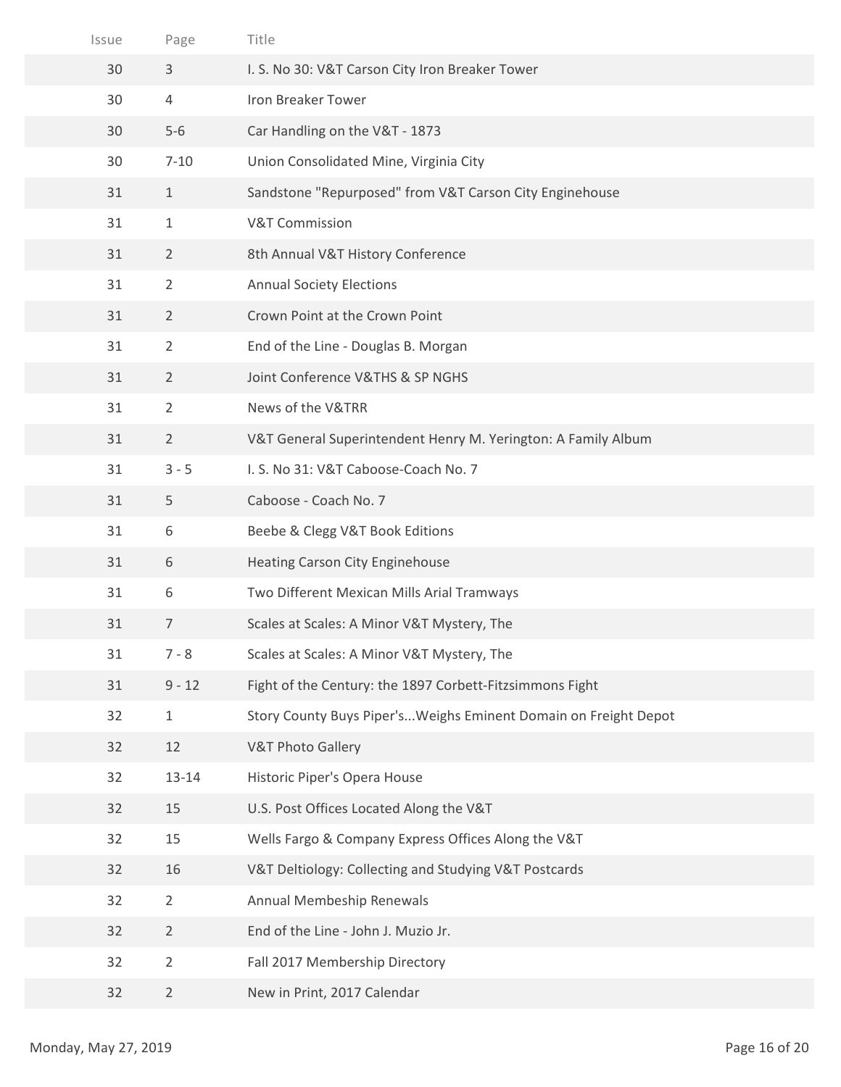| Issue | Page           | Title                                                           |
|-------|----------------|-----------------------------------------------------------------|
| 30    | 3              | I. S. No 30: V&T Carson City Iron Breaker Tower                 |
| 30    | $\overline{4}$ | Iron Breaker Tower                                              |
| 30    | $5-6$          | Car Handling on the V&T - 1873                                  |
| 30    | $7 - 10$       | Union Consolidated Mine, Virginia City                          |
| 31    | $\mathbf{1}$   | Sandstone "Repurposed" from V&T Carson City Enginehouse         |
| 31    | $\mathbf 1$    | <b>V&amp;T Commission</b>                                       |
| 31    | $\overline{2}$ | 8th Annual V&T History Conference                               |
| 31    | $\overline{2}$ | <b>Annual Society Elections</b>                                 |
| 31    | $\overline{2}$ | Crown Point at the Crown Point                                  |
| 31    | $\overline{2}$ | End of the Line - Douglas B. Morgan                             |
| 31    | $\overline{2}$ | Joint Conference V&THS & SP NGHS                                |
| 31    | $\overline{2}$ | News of the V&TRR                                               |
| 31    | $\overline{2}$ | V&T General Superintendent Henry M. Yerington: A Family Album   |
| 31    | $3 - 5$        | I. S. No 31: V&T Caboose-Coach No. 7                            |
| 31    | 5              | Caboose - Coach No. 7                                           |
| 31    | 6              | Beebe & Clegg V&T Book Editions                                 |
| 31    | 6              | Heating Carson City Enginehouse                                 |
| 31    | 6              | Two Different Mexican Mills Arial Tramways                      |
| 31    | $\overline{7}$ | Scales at Scales: A Minor V&T Mystery, The                      |
| 31    | $7 - 8$        | Scales at Scales: A Minor V&T Mystery, The                      |
| 31    | $9 - 12$       | Fight of the Century: the 1897 Corbett-Fitzsimmons Fight        |
| 32    | $\mathbf{1}$   | Story County Buys Piper'sWeighs Eminent Domain on Freight Depot |
| 32    | 12             | <b>V&amp;T Photo Gallery</b>                                    |
| 32    | $13 - 14$      | Historic Piper's Opera House                                    |
| 32    | 15             | U.S. Post Offices Located Along the V&T                         |
| 32    | 15             | Wells Fargo & Company Express Offices Along the V&T             |
| 32    | 16             | V&T Deltiology: Collecting and Studying V&T Postcards           |
| 32    | $\overline{2}$ | Annual Membeship Renewals                                       |
| 32    | $\overline{2}$ | End of the Line - John J. Muzio Jr.                             |
| 32    | $\overline{2}$ | Fall 2017 Membership Directory                                  |
| 32    | $\overline{2}$ | New in Print, 2017 Calendar                                     |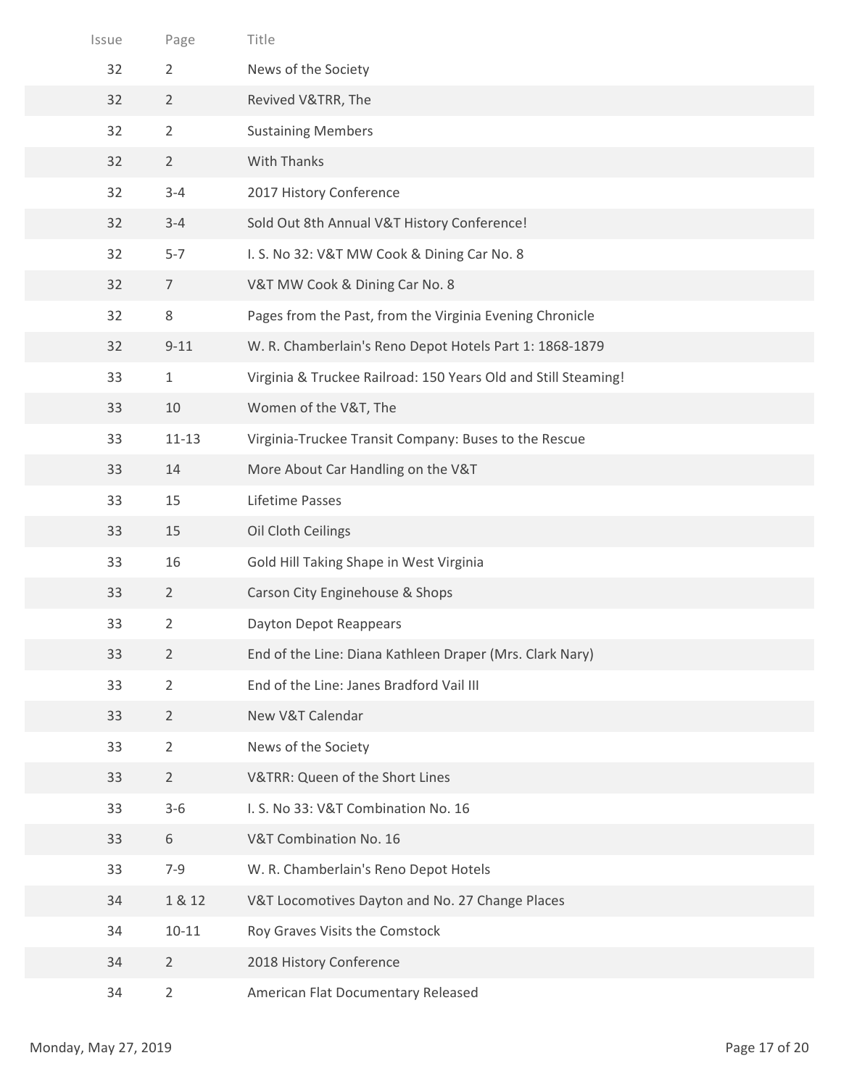| Issue | Page           | Title                                                          |
|-------|----------------|----------------------------------------------------------------|
| 32    | $\overline{2}$ | News of the Society                                            |
| 32    | $\overline{2}$ | Revived V&TRR, The                                             |
| 32    | $\overline{2}$ | <b>Sustaining Members</b>                                      |
| 32    | $\overline{2}$ | <b>With Thanks</b>                                             |
| 32    | $3 - 4$        | 2017 History Conference                                        |
| 32    | $3 - 4$        | Sold Out 8th Annual V&T History Conference!                    |
| 32    | $5 - 7$        | I. S. No 32: V&T MW Cook & Dining Car No. 8                    |
| 32    | $\overline{7}$ | V&T MW Cook & Dining Car No. 8                                 |
| 32    | 8              | Pages from the Past, from the Virginia Evening Chronicle       |
| 32    | $9 - 11$       | W. R. Chamberlain's Reno Depot Hotels Part 1: 1868-1879        |
| 33    | $\mathbf{1}$   | Virginia & Truckee Railroad: 150 Years Old and Still Steaming! |
| 33    | 10             | Women of the V&T, The                                          |
| 33    | $11 - 13$      | Virginia-Truckee Transit Company: Buses to the Rescue          |
| 33    | 14             | More About Car Handling on the V&T                             |
| 33    | 15             | Lifetime Passes                                                |
| 33    | 15             | Oil Cloth Ceilings                                             |
| 33    | 16             | Gold Hill Taking Shape in West Virginia                        |
| 33    | $\overline{2}$ | Carson City Enginehouse & Shops                                |
| 33    | $\overline{2}$ | Dayton Depot Reappears                                         |
| 33    | $\overline{2}$ | End of the Line: Diana Kathleen Draper (Mrs. Clark Nary)       |
| 33    | $\overline{2}$ | End of the Line: Janes Bradford Vail III                       |
| 33    | $2^{\circ}$    | New V&T Calendar                                               |
| 33    | $\overline{2}$ | News of the Society                                            |
| 33    | $2^{\circ}$    | V&TRR: Queen of the Short Lines                                |
| 33    | $3 - 6$        | I. S. No 33: V&T Combination No. 16                            |
| 33    | 6              | V&T Combination No. 16                                         |
| 33    | $7 - 9$        | W. R. Chamberlain's Reno Depot Hotels                          |
| 34    | 1 & 12         | V&T Locomotives Dayton and No. 27 Change Places                |
| 34    | $10 - 11$      | Roy Graves Visits the Comstock                                 |
| 34    | $\overline{2}$ | 2018 History Conference                                        |
| 34    | $\overline{2}$ | American Flat Documentary Released                             |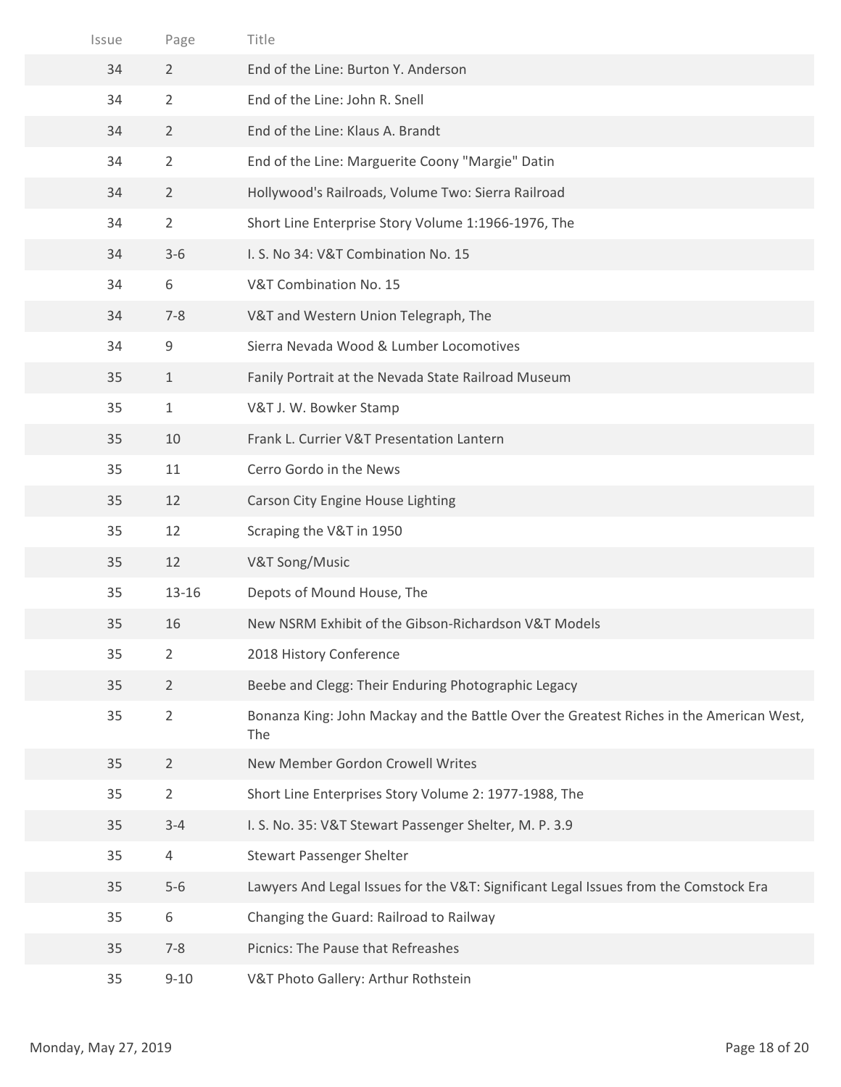| Issue | Page           | Title                                                                                          |
|-------|----------------|------------------------------------------------------------------------------------------------|
| 34    | $\overline{2}$ | End of the Line: Burton Y. Anderson                                                            |
| 34    | $\overline{2}$ | End of the Line: John R. Snell                                                                 |
| 34    | $\overline{2}$ | End of the Line: Klaus A. Brandt                                                               |
| 34    | $\overline{2}$ | End of the Line: Marguerite Coony "Margie" Datin                                               |
| 34    | $\overline{2}$ | Hollywood's Railroads, Volume Two: Sierra Railroad                                             |
| 34    | $\overline{2}$ | Short Line Enterprise Story Volume 1:1966-1976, The                                            |
| 34    | $3 - 6$        | I. S. No 34: V&T Combination No. 15                                                            |
| 34    | 6              | V&T Combination No. 15                                                                         |
| 34    | $7 - 8$        | V&T and Western Union Telegraph, The                                                           |
| 34    | $\mathsf 9$    | Sierra Nevada Wood & Lumber Locomotives                                                        |
| 35    | $\mathbf{1}$   | Fanily Portrait at the Nevada State Railroad Museum                                            |
| 35    | $\mathbf{1}$   | V&T J. W. Bowker Stamp                                                                         |
| 35    | 10             | Frank L. Currier V&T Presentation Lantern                                                      |
| 35    | 11             | Cerro Gordo in the News                                                                        |
| 35    | 12             | Carson City Engine House Lighting                                                              |
| 35    | 12             | Scraping the V&T in 1950                                                                       |
| 35    | 12             | V&T Song/Music                                                                                 |
| 35    | $13 - 16$      | Depots of Mound House, The                                                                     |
| 35    | 16             | New NSRM Exhibit of the Gibson-Richardson V&T Models                                           |
| 35    | $\overline{2}$ | 2018 History Conference                                                                        |
| 35    | $\overline{2}$ | Beebe and Clegg: Their Enduring Photographic Legacy                                            |
| 35    | $\overline{2}$ | Bonanza King: John Mackay and the Battle Over the Greatest Riches in the American West,<br>The |
| 35    | $\overline{2}$ | New Member Gordon Crowell Writes                                                               |
| 35    | $\overline{2}$ | Short Line Enterprises Story Volume 2: 1977-1988, The                                          |
| 35    | $3 - 4$        | I. S. No. 35: V&T Stewart Passenger Shelter, M. P. 3.9                                         |
| 35    | 4              | Stewart Passenger Shelter                                                                      |
| 35    | $5-6$          | Lawyers And Legal Issues for the V&T: Significant Legal Issues from the Comstock Era           |
| 35    | 6              | Changing the Guard: Railroad to Railway                                                        |
| 35    | $7 - 8$        | Picnics: The Pause that Refreashes                                                             |
| 35    | $9 - 10$       | V&T Photo Gallery: Arthur Rothstein                                                            |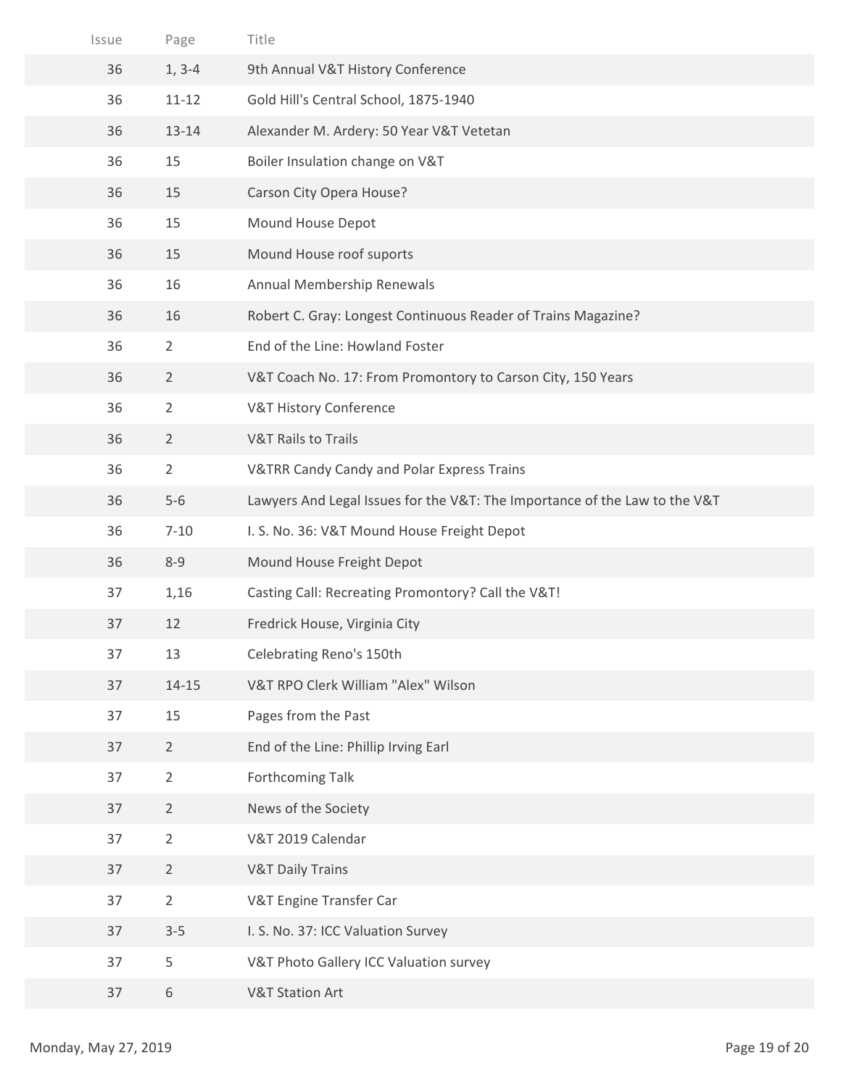| Issue | Page           | Title                                                                      |
|-------|----------------|----------------------------------------------------------------------------|
| 36    | $1, 3-4$       | 9th Annual V&T History Conference                                          |
| 36    | $11 - 12$      | Gold Hill's Central School, 1875-1940                                      |
| 36    | $13 - 14$      | Alexander M. Ardery: 50 Year V&T Vetetan                                   |
| 36    | 15             | Boiler Insulation change on V&T                                            |
| 36    | 15             | Carson City Opera House?                                                   |
| 36    | 15             | Mound House Depot                                                          |
| 36    | 15             | Mound House roof suports                                                   |
| 36    | 16             | Annual Membership Renewals                                                 |
| 36    | 16             | Robert C. Gray: Longest Continuous Reader of Trains Magazine?              |
| 36    | $\overline{2}$ | End of the Line: Howland Foster                                            |
| 36    | $\overline{2}$ | V&T Coach No. 17: From Promontory to Carson City, 150 Years                |
| 36    | $\overline{2}$ | V&T History Conference                                                     |
| 36    | $\overline{2}$ | <b>V&amp;T Rails to Trails</b>                                             |
| 36    | $\overline{2}$ | <b>V&amp;TRR Candy Candy and Polar Express Trains</b>                      |
| 36    | $5-6$          | Lawyers And Legal Issues for the V&T: The Importance of the Law to the V&T |
| 36    | $7 - 10$       | I. S. No. 36: V&T Mound House Freight Depot                                |
| 36    | $8 - 9$        | Mound House Freight Depot                                                  |
| 37    | 1,16           | Casting Call: Recreating Promontory? Call the V&T!                         |
| 37    | 12             | Fredrick House, Virginia City                                              |
| 37    | 13             | Celebrating Reno's 150th                                                   |
| 37    | $14 - 15$      | V&T RPO Clerk William "Alex" Wilson                                        |
| 37    | 15             | Pages from the Past                                                        |
| 37    | $\overline{2}$ | End of the Line: Phillip Irving Earl                                       |
| 37    | $\overline{2}$ | Forthcoming Talk                                                           |
| 37    | $\overline{2}$ | News of the Society                                                        |
| 37    | $\overline{2}$ | V&T 2019 Calendar                                                          |
| 37    | $\overline{2}$ | <b>V&amp;T Daily Trains</b>                                                |
| 37    | $\overline{2}$ | V&T Engine Transfer Car                                                    |
| 37    | $3 - 5$        | I. S. No. 37: ICC Valuation Survey                                         |
| 37    | 5              | V&T Photo Gallery ICC Valuation survey                                     |
| 37    | 6              | <b>V&amp;T Station Art</b>                                                 |